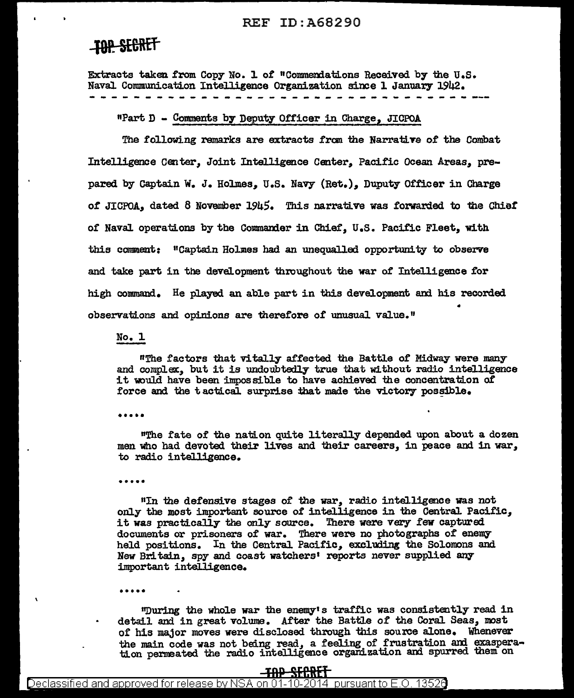# **TOP SECRET**

Extracts taken from Copy No. 1 of "Commendations Received by the U.S. Naval Communication Intelligence Organization since 1 January 1942.

"Part D - Comments by Deputy Officer in Charge, JICPOA

The following remarks are extracts from the Narrative of the Combat Intelligence Center, Joint Intelligence Center, Pacific Ocean Areas, prepared by Captain W. J. Holmes, U.S. Navy (Ret.), Duputy Officer in Charge of JICPOA, dated 8 November 1945. This narrative was forwarded to the Chief of Naval operations by the Commander in Chief, U.S. Pacific Fleet, with this comment: "Captain Holmes had an unequalled opportunity to observe and take part in the devalopment throughout the war of Intelligence for high command. He played an able part in this development and his recorded observations and opinions are therefore of unusual value."

No. l

"The factors that vitally affected the Battle of Midway were many and complex, but it is undoubtedly true that without radio intelligence it would have been impossible to have achieved the concentration of force and the tactical surprise that made the victory possible.

.....

"The fate of the nation quite literally depended upon about a dozen men who had devoted their lives and their careers, in peace and in war, to radio intelligence.

\*\*\*\*\*

"In the defensive stages of the war, radio intelligence was not only the most important source of intelligence in the Central Pacific, it was practically the only source. There were very few captured documents or prisoners of war. There were no photographs of enemy held positions. In the Central Pacific, excluding the Solomons and New Britain, spy and coast watchers' reports never supplied any important intelligence.

"During the whole war the enemy's traffic was consistently read in detail and in great volume. After the Battle of the Coral Seas, most of his major moves were disclosed through this source alone. Whenever the main code was not being read, a feeling of frustration and exasperation permeated the radio intelligence organization and spurred them on

### <del>-TAP SECRET</del> Declassified and approved for release by NSA on 01-10-2014 pursuant to E.O. 13526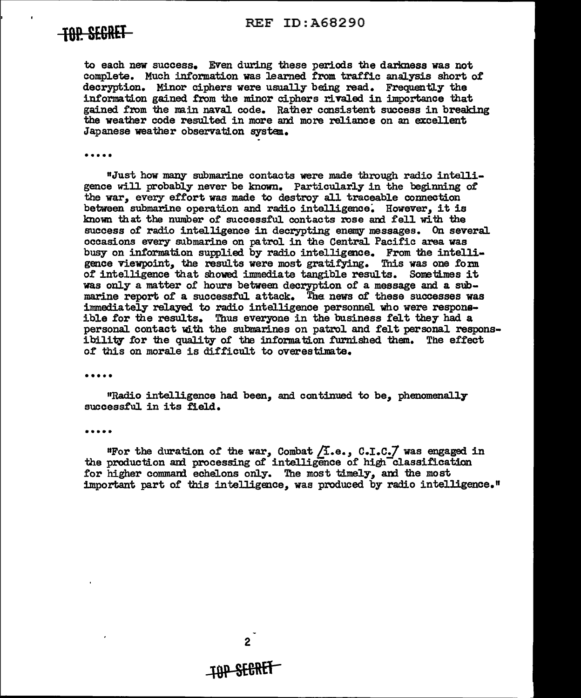# **the SEGRET** REF ID:A68290



to each new success. Even during these periods the darlmess was not complete. Much information was learned trom traffic analysis short of decryption. Minor ciphers were usually being read. Frequently the information gained from the minor ciphers rivaled in importance that gained from the main naval code. Rather consistent success in breaking the weather code resulted in more and more reliance on an excellent Japanese weather observation system.

•••••

"Just how many submarine contacts were made through radio intelligence will probably never be known. Particularly in the beginning of the war, every effort was made to destroy all traceable connection between submarine operation and radio intelligence. However, it is lmown that the nwnber of successful contacts rose and fell with the success of radio intelligence in decrypting enemy messages. On several occasions every submarine on patrol in the Central Pacific area was busy on information supplied by radio intelligence. From the intelligence viewpoint, the results were most gratifying. This was one form of intelligence that showed immediate tangible results. Sometimes it was only a matter of hours between decryption of a message and a submarine report of a successful attack. The news of these successes was i:mmediately relayed to radio intelligence personnel who were responsible for the results. Thus everyone in the business felt they had a personal contact with the submarines on patrol and felt personal responsibility for the quality of the information furnished them. The effect of this on morale is difficult to overestimate.

•••••

"Radio intelligence had been, and continued to be, phenomenally successful in its field.

•••••

"For the duration of the war, Combat  $/1.e.,$  C.I.C. $/$  was engaged in the production and processing of intelligence of high-classification for higher command echelons only. The most timely, and the most important part of this intelligence, was produced by radio intelligence."

2

# **-fQP SE&REr**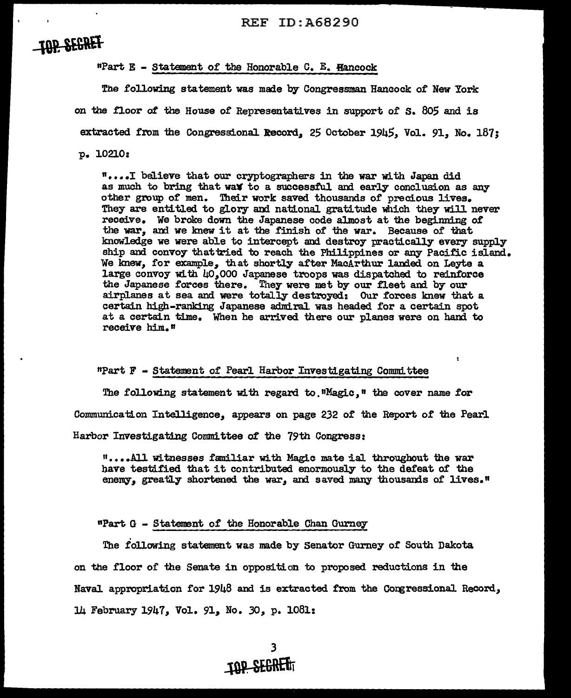# **TOP SEGRET**

 $\ddot{\phantom{0}}$ 

nPart E - Statement of the Honorable c. E. Hancock

The following statement was made by Congressman Hancock of New York on the floor *ot* the House *of* Representatives in support of s. 805 and is extracted from the Congressional Record, 25 October 1945, Vol. 91. No. 187;

P• 10210:

"• ••• I believe that our cryptographers in the war with Japan did as much to bring that wax to a successful and early conclusion as any other group of men. Their work saved thousands of precious lives. They are entitled to glory and national gratitude which they will never receive. We broke down the Japanese code almost at the beginning of the war, and we knew it at the finish of the war. Because of that knowledge we were able to intercept and destroy practically every supply ship and convoy that tried to reach the Philippines or any Pacific island. We lmew, for example, that shortly after MacArthur landed on Leyte a large convoy with 40,000 Japanese troops was dispatched to reinforce the Japanese forces there. They were met by our fleet and by our airplanes at sea and were totally destroyed: Our forces knew that a certain high-ranking Japanese admiral. was headed for a certain spot at a certain time. When he arrived there our planes were on hand to receive him. n

 $"Part F - Statement of Pearl Harbor Investigating Committee$ 

The following statement with regard to. "Magic." the cover name for Communication Intelligence, appears on page 232 of the Report of the Pearl

Harbor Investigating Committee *ot* the 19th Congress:

"· ••• All Witnesses familiar with Magic mate ial throughout the war have testified that it contributed enormously to the defeat of the enemy, greatly shortened the war, and saved many thousands of lives."

npart G - Statement of the Honorable Chan Gurney

The following statement was made by Senator Gurney of South Dakota on the floor or the Senate in opposition to proposed. reductions in the Naval appropriation for 1948 and is extracted from the Congressional Record, 14 February 1947, Vol. 911 No. *30,* p. 1081: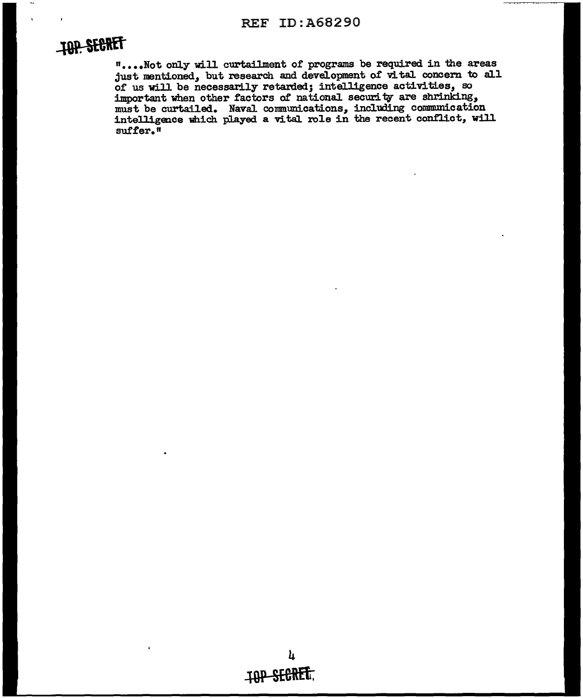# **TOP SECRET**

"....Not only will curtailment of programs be required in the areas just mentioned, but research and development of vital concern to all of us will be necessarily retarded; intelligence activities, so important when other factors of national security are shrinking, must be curtailed. Naval communications, including communication intelligence which played a vital role in the recent conflict, will suffer."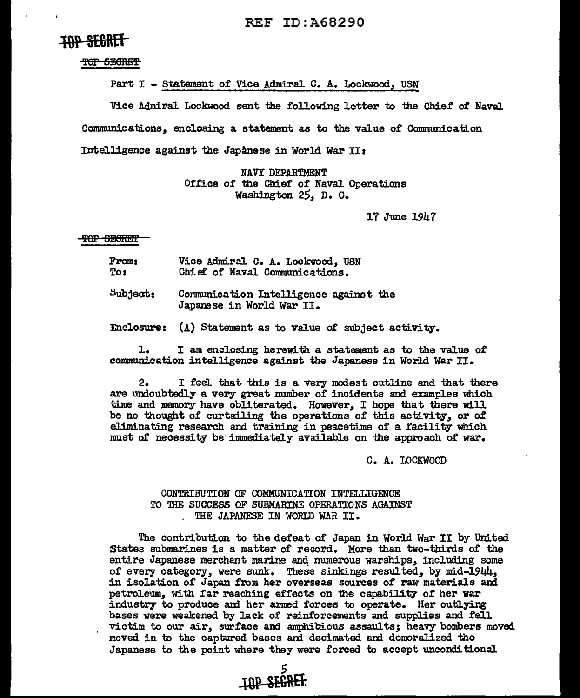# **IAP SEGRET**

TOP SECRET

Part  $I$  - Statement of Vice Admiral C. A. Lockwood, USN

Vice Admiral Lockwood sent the following letter to the Chief of Naval Communications,, enclosing a statement as to the value of Communication Intelligence against the Japanese in World war II:

> NAVY DEPARTMENT Office of the Chief of Naval Operations Washington 25, D. C.

> > 17 June 1947

#### TOP SECRET

| <b>From:</b> |  | Vice Admiral C. A. Lockwood, USN |  |
|--------------|--|----------------------------------|--|
| To:          |  | Chief of Naval Communications.   |  |

 $Subject:$  Communication Intelligence against the Japanese in World War II.

Enclosure:  $(A)$  Statement as to value of subject activity.

1. I am enclosing herewith a statement as to the value of communication intelligence against the Japanese in World war II.

2. I feel that this is a very modest outline and that there are undoubtedly a very great nwnber of incidents and examples which time and memory have obliterated. However, I hope that there will be no thought of curtailing the operations of this activity, or of eliminating research and training in peacetime of a facility which must of necessity be immediately available on the approach of war.

C. A. LOCKWOOD

### CONTRIBUTION OF COMMUNICATION INTELLIGENCE TO THE SUCCESS OF SUBMARINE OPERATIONS AGAINST . THE JAPANESE IN WORLD WAR II.

*5* 

**-tOP SE6\\Et** 

The contribution to the defeat of Japan in World War II by United States submarines is a matter of record. More than two-thirds of the entire Japanese merchant marine and numerous warships, including some of every category, were sunk. These sinkings resulted, by mid-1944, in isolation of Japan from her overseas sources of raw materials and petroleum, with far reaching effects on the capability of her war industry to produce and her armed forces to operate. Her outlying bases were weakened by lack of reinforcements and supplies and fell victim to our air, surface ani amphibious assaults; heavy bombers moved moved in to the captured bases ani decimated am demoralized the Japanese to the point where they were forced to accept unconditional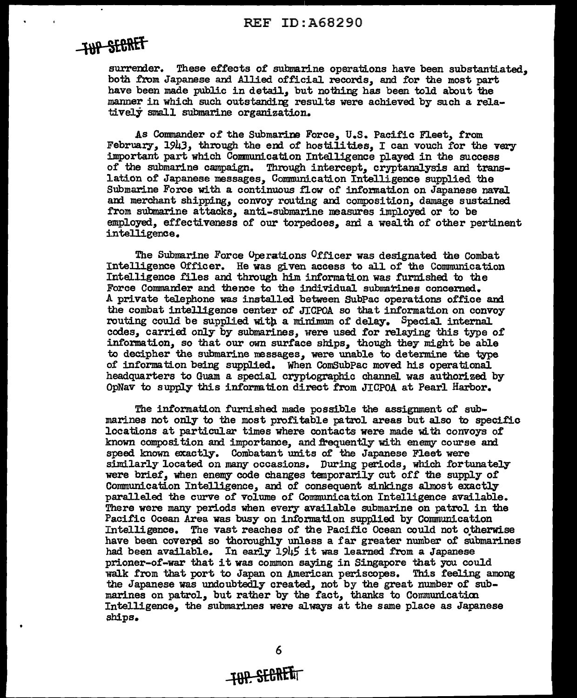# **THP SECRET**

surrender. These effects of submarine operations have been substantiated. both from Japanese and Allied official records, and for the most part have been made public in detail, but nothing has been told about the manner in which such outstanding results were achieved by such a relatively small submarine organization.

As Commander of the Submarine Force, U.S. Pacific Fleet, f'rom February, 1943, through the end of hostilities, I can vouch for the very important part which Communication Intelligence played in the success of the submarine campaign. Through intercept, cryptanalysis and translation of Japanese messages, Communication Intelligence supplied the Submarine Force with a continuous flow of information on Japanese naval and merchant shipping, convoy routing and composition, damage sustained from submarine attacks, anti-submarine measures imployed or to be employed, effectiveness of our torpedoes, and a wealth of other pertinent intelligence.

The Submarine Force Operations Officer was designated the Combat Intelligence Officer. He was given access to all of the Communication Intelligence files and through him information was furnished to the Force Commander and thence to the individual submarines concerned. A private telephone was installed between SubPac operations office and the combat intelligence center of JJCPOA so that information on convoy routing could be supplied with a minimum of delay. Special internal. codes, carried only by submarines, were used for relaying this type of information, so that our own surface ships, though they might be able to decipher the submarine messages, were unable to determine the type of information being supplied. When ComSubPac moved his operational headquarters to Guam a special cryptographic channel was authorized by OpNav to supply this information direct from JICPOA at Pearl Harbor.

The information furnished made possible the assignment of submarines not only to the most profitable patrol areas but also to specific locations at particular times where contacts were made with convoys of known composition and importance, and frequently with enemy course and speed known exactly. Combatant units of the Japanese Fleet were similarly located on many occasions. During periods, which fortunately were brief, when enemy code changes temporarily cut of£ the supply of Communication Intelligence, and of consequent sinkings almost exactly paral1eled the curve of volume of Communication Intelligence available. There were many periods when every available submarine on patrol in the Pacific Ocean Area was busy on information supplied by Communication Intelligence. The vast reaches of the Pacific Ocean could not otherwise have been covered so thoroughly unless a far greater number of submarines had been available. In early 1945 it was 1earned from a Japanese prioner-of-war that it was common saying in Singapore that you could walk from that port to Japan on American periscopes. This feeling among the Japanese was undoubtedly created, not by the great number of submarines on patrol, but rather by the fact, thanks to Communication Intelligence, the submarines were always at the same place as Japanese ships.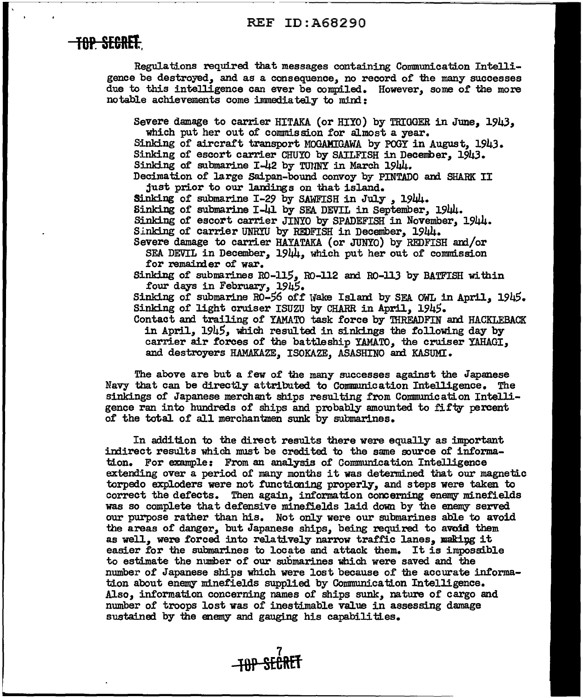### REF ID:A68290

## **TOP. SE&REt** <sup>I</sup>

Regulations required that messages containing Communication Intelligence be destroyed, and as a consequence, no record of the many successes due to this intelligence can ever be compiled. However, some of the more notable achievements come immediately to mind:

Severe damage to carrier HITAKA (or HIYO) by TRIGGER in June, 1943. which put her out of commission for almost a year. Sinking of aircraft transport MOGAMIGAWA by POGY in August, 1943. Sinking of escort carrier CHUYO by SAILFISH in December, 1943. Sinking of submarine I-42 by TUNNY in March 1944. Decimation of large Saipan-bound convoy by PINTADO and SHARK II just prior to our landings on that island. Sinking of submarine I-29 by SAWFISH in July, 1944. Sinking of submarine I-41 by SEA DEVIL in September, 1944. Sinking of escort carrier JINYO by SPADEFISH in November, 1944. Sinking of carrier UNRIU by REDFISH in December, 1944. Severe damage to carrier HAYATAKA (or JUNYO) by REDFISH and/or SEA DEVIL in December, 1944, which put her out of commission for remainder of war. Sinking of submarines  $R0-115$ ,  $R0-112$  and  $R0-113$  by BATFISH within four days in February, 1945. Sinking of submarine RO-56 off Wake Island by SEA OWL in April,  $1945$ . Sinking of light cruiser ISUZU by CHARR in April, 1945. Contact and trailing of YAMATO task force by 'IHREADFIN and HACKLEBACK in April,  $1945$ , which resulted in sinkings the following day by carrier air forces of the battleship YAMATO, the cruiser YAHAGI, and destroyers HAMAKAZE, ISOKAZE, ASASHINO and KASUMI.

The above are but a few of the many successes against the Japanese Navy that can be directly attributed to Communication Intelligence. The sinkings of Japanese merchant ships resulting from Communication Intelligence ran into hundreds of ships and probably amounted to fifty percent of the total of' all merchantmen sunk by submarines.

In addition to the direct results there were equally as important indirect results which must be credited to the same source of information. For example: From an analysis or Communication Intelligence extending over a period of many months it was determined that our magnetic torpedo exploders were not functioning properly, and steps were taken to correct the defects. Then again, information concerning enemy minefields was so complete that defensive minefields laid down by the enemy served our purpose rather than his. Not only were our submarines able to avoid the areas or danger, but Japanese ships, being required to avoid them as well. were forced into relatively narrow traffic lanes. making it easier for the submarines to locate and attack them. It is impossible to estimate the number of our submarines which were saved and the number of Japanese ships which were lost because of' the accurate information about enemy minefields supplied by Communication Intelligence. Also, information concerning names of ships sunk, nature of cargo and number of troops lost was of' inestimable va1ue in assessing damage sustained by the enemy and gauging his capabilities.

> 7 **t8P SECREt**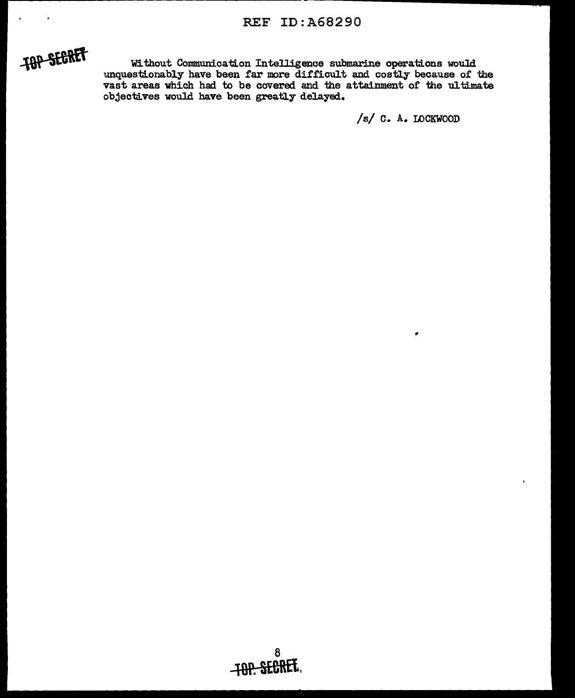### **REF ID: A68290**



Without Communication Intelligence submarine operations would<br>unquestionably have been far more difficult and costly because of the<br>vast areas which had to be covered and the attainment of the ultimate<br>objectives would hav

/s/ C. A. LOCKWOOD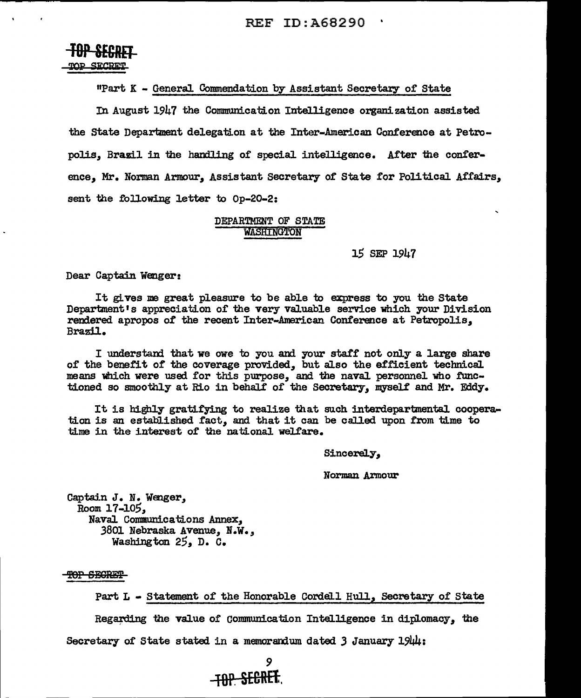# **TUF SEGKEI-**<br>TOP SECRET-

"Pa.rt K - General Commendation by Assistant Secretary of State

In August 1947 the Communication Intelligence organization assisted the State Department delegation at the Inter-American Conference at Petropolis, Brazil in the handling of special intelligence. After the conference, Mr. Norman Armour, Assistant Secretary or State for Political Affairs, sent the following letter to Op-20-2:

### DEPARTMENT OF STATE **WASHINGTON**

15 SEP 1947

Dear Captain Wenger:

It gives me great pleasure to be able to express to you the State Department's appreciation of the very valuable service which your Division rendered apropos of the recent Inter-American Conference at Petropolis, Brazil.

I understand that we owe to you and your staff not only a large share of the benefit of the coverage provided, but also the efficient technical means which were used for this purpose, and the naval personnel who functioned so smoothly at Rio in behalf of the Secretary, myself and Mr. Eddy.

It is highly gratifying to realize that such interdepartmental cooperation is an established fact, and that it can be called upon from time to time in the interest of the national welfare.

Sincerely,

Norman Armour

Captain J. N. Wenger, Room 17-105, Naval Communications Annex, 3801 Nebraska Avenue, N.w.,, Washington  $25$ , D. C.

TOP SECRET

Part L - Statement of the Honorable Cordell Hull, Secretary of State Regarding the value of Communication Intelligence in diplomacy, the Secretary of State stated in a memorandum dated  $3$  January 1944:

*9*  **tOP. SE&REf..**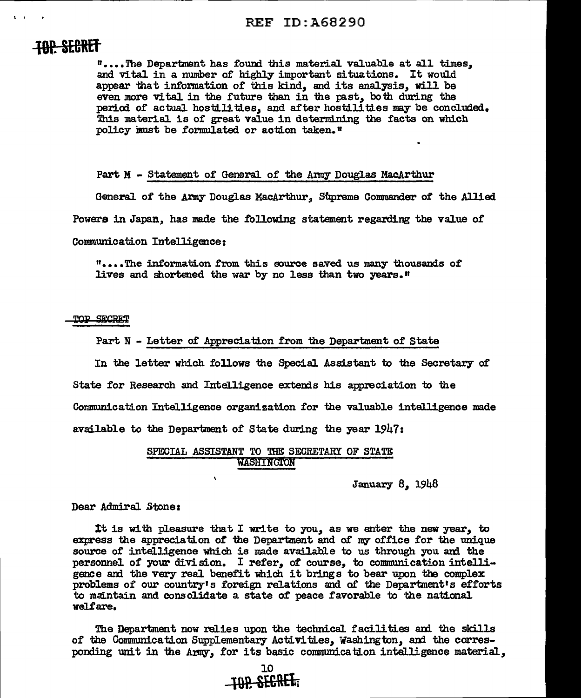# **-18P. SEOREt**

 $\mathbf{r}$ 

"· ••• The Department has found this material valuable at all times,, and vital in a number of highly important situations. It would appear that information of this kind, and its analysis, will be even more vital in the future than in the past, both during the period of actual hostilities, and after hostilities may be concluded. This material is of great value in determining the facts on which policy must be formulated or action taken."

#### Part M - Statement of General of the Army Douglas MacArthur

General of the Army Douglas MacArthur, Supreme Commander of the Allied

Powers in Japan, has made the following statement regarding the value of

Communication Intelligence:

"....The information from this source saved us many thousands of lives and shortened the war by no less than two years.<sup>11</sup>

#### **TOP SECRET**

#### Part N - Letter of Appreciation from the Department of State

In the letter which follows the Special Assistant to the Secretary or State for Research and Intelligence extends his appreciation to the Communication Intelligence organization for the valuable intalligence made available to the Department of State during the year 1947:

### SPECIAL ASSISTANT TO THE SECRETARY OF STATE WASHING1'0N

 $\lambda$ 

January 8, 1948

### Dear Admiral Stone:

It is with pleasure that I write to you, as we enter the new year, to express the appreciation of the Department and of my office for the unique source of intelligence which is made available to us through you and the personnel of your division. I refer, of course, to communication intelligence and the very real benefit which it brings to bear upon the complex gence and the very real benefit which it brings to bear upon the complex problems of our country's foreign relations and of the Department's efforts to maintain and consolidate a state of peace favorable to the national welfare.

The Department now relies upon the technical facilities ani the skills of the Communication Supplementary Activities,, Washington,, and the corresponding unit in the Army, for its basic communication intalligence material,

> 10 **LOR SEGRET**